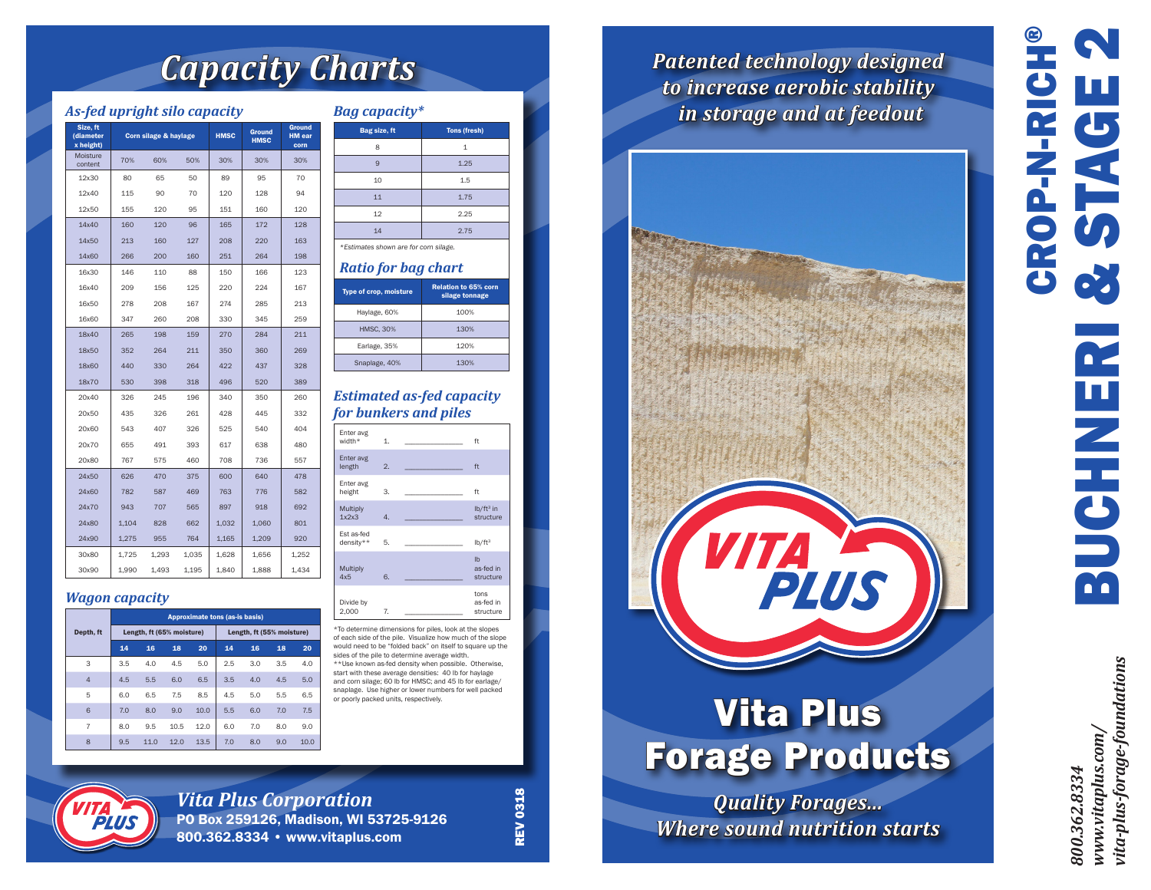# *Capacity Charts*

#### *As-fed upright silo capacity*

| Size, ft<br>(diameter<br>x height) | Corn silage & haylage |       |       | <b>HMSC</b> | <b>Ground</b><br><b>HMSC</b> | <b>Ground</b><br><b>HM</b> ear<br>corn |
|------------------------------------|-----------------------|-------|-------|-------------|------------------------------|----------------------------------------|
| Moisture<br>content                | 70%                   | 60%   | 50%   | 30%         | 30%                          | 30%                                    |
| 12x30                              | 80                    | 65    | 50    | 89          | 95                           | 70                                     |
| 12x40                              | 115                   | 90    | 70    | 120         | 128                          | 94                                     |
| 12x50                              | 155                   | 120   | 95    | 151         | 160                          | 120                                    |
| 14x40                              | 160                   | 120   | 96    | 165         | 172                          | 128                                    |
| 14x50                              | 213                   | 160   | 127   | 208         | 220                          | 163                                    |
| 14x60                              | 266                   | 200   | 160   | 251         | 264                          | 198                                    |
| 16x30                              | 146                   | 110   | 88    | 150         | 166                          | 123                                    |
| 16x40                              | 209                   | 156   | 125   | 220         | 224                          | 167                                    |
| 16x50                              | 278                   | 208   | 167   | 274         | 285                          | 213                                    |
| 16x60                              | 347                   | 260   | 208   | 330         | 345                          | 259                                    |
| 18x40                              | 265                   | 198   | 159   | 270         | 284                          | 211                                    |
| 18x50                              | 352                   | 264   | 211   | 350         | 360                          | 269                                    |
| 18x60                              | 440                   | 330   | 264   | 422         | 437                          | 328                                    |
| 18x70                              | 530                   | 398   | 318   | 496         | 520                          | 389                                    |
| 20x40                              | 326                   | 245   | 196   | 340         | 350                          | 260                                    |
| 20x50                              | 435                   | 326   | 261   | 428         | 445                          | 332                                    |
| 20x60                              | 543                   | 407   | 326   | 525         | 540                          | 404                                    |
| 20x70                              | 655                   | 491   | 393   | 617         | 638                          | 480                                    |
| 20x80                              | 767                   | 575   | 460   | 708         | 736                          | 557                                    |
| 24x50                              | 626                   | 470   | 375   | 600         | 640                          | 478                                    |
| 24x60                              | 782                   | 587   | 469   | 763         | 776                          | 582                                    |
| 24x70                              | 943                   | 707   | 565   | 897         | 918                          | 692                                    |
| 24x80                              | 1,104                 | 828   | 662   | 1,032       | 1,060                        | 801                                    |
| 24x90                              | 1,275                 | 955   | 764   | 1,165       | 1,209                        | 920                                    |
| 30x80                              | 1,725                 | 1,293 | 1,035 | 1,628       | 1,656                        | 1,252                                  |
| 30x90                              | 1,990                 | 1,493 | 1,195 | 1,840       | 1,888                        | 1,434                                  |

#### *Wagon capacity*

|                | <b>Approximate tons (as-is basis)</b> |      |      |      |                           |     |     |      |
|----------------|---------------------------------------|------|------|------|---------------------------|-----|-----|------|
| Depth, ft      | Length, ft (65% moisture)             |      |      |      | Length, ft (55% moisture) |     |     |      |
|                | 14                                    | 16   | 18   | 20   | 14                        | 16  | 18  | 20   |
| 3              | 3.5                                   | 4.0  | 4.5  | 5.0  | 2.5                       | 3.0 | 3.5 | 4.0  |
| $\overline{4}$ | 4.5                                   | 5.5  | 6.0  | 6.5  | 3.5                       | 4.0 | 4.5 | 5.0  |
| 5              | 6.0                                   | 6.5  | 7.5  | 8.5  | 4.5                       | 5.0 | 5.5 | 6.5  |
| 6              | 7.0                                   | 8.0  | 9.0  | 10.0 | 5.5                       | 6.0 | 7.0 | 7.5  |
| $\overline{7}$ | 8.0                                   | 9.5  | 10.5 | 12.0 | 6.0                       | 7.0 | 8.0 | 9.0  |
| 8              | 9.5                                   | 11.0 | 12.0 | 13.5 | 7.0                       | 8.0 | 9.0 | 10.0 |

#### *Bag capacity\**

| Bag size, ft                          | <b>Tons (fresh)</b> |  |  |  |
|---------------------------------------|---------------------|--|--|--|
| 8                                     | 1                   |  |  |  |
| 9                                     | 1.25                |  |  |  |
| 10                                    | 1.5                 |  |  |  |
| 11                                    | 1.75                |  |  |  |
| 12                                    | 2.25                |  |  |  |
| 14                                    | 2.75                |  |  |  |
| *Estimates shown are for corn silage. |                     |  |  |  |
| ____                                  | $\sim$              |  |  |  |

#### *Ratio for bag chart*

| <b>Relation to 65% corn</b><br>silage tonnage |  |  |
|-----------------------------------------------|--|--|
| 100%                                          |  |  |
| 130%                                          |  |  |
| 120%                                          |  |  |
| 130%                                          |  |  |
|                                               |  |  |

#### *Estimated as-fed capacity for bunkers and piles*

| Enter avg<br>width*     | 1.               | ft                                     |
|-------------------------|------------------|----------------------------------------|
| Enter avg<br>length     | 2.               | ft                                     |
| Enter avg<br>height     | 3.               | ft                                     |
| Multiply<br>1x2x3       | $\overline{4}$ . | $lb/ft^3$ in<br>structure              |
| Est as-fed<br>density** | 5.               | $lb/ft^3$                              |
| Multiply<br>4x5         | 6.               | $\mathsf{I}$<br>as-fed in<br>structure |
| Divide by<br>2,000      | 7.               | tons<br>as-fed in<br>structure         |

\*To determine dimensions for piles, look at the slopes of each side of the pile. Visualize how much of the slope would need to be "folded back" on itself to square up the sides of the pile to determine average width. \*\*Use known as-fed density when possible. Otherwise, start with these average densities: 40 lb for haylage and corn silage; 60 lb for HMSC; and 45 lb for earlage/ snaplage. Use higher or lower numbers for well packed or poorly packed units, respectively.

**PLIIS** 

*Vita Plus Corporation* PO Box 259126, Madison, WI 53725-9126 800.362.8334 • www.vitaplus.com

**REV 0318** REV 0318

*Patented technology designed to increase aerobic stability in storage and at feedout*



# Vita Plus Forage Products

*Quality Forages... Where sound nutrition starts*

vita-plus-forage-foundations *www.vitaplus.com/* www.vitaplus.com/ 800.362.8334 *800.362.8334*